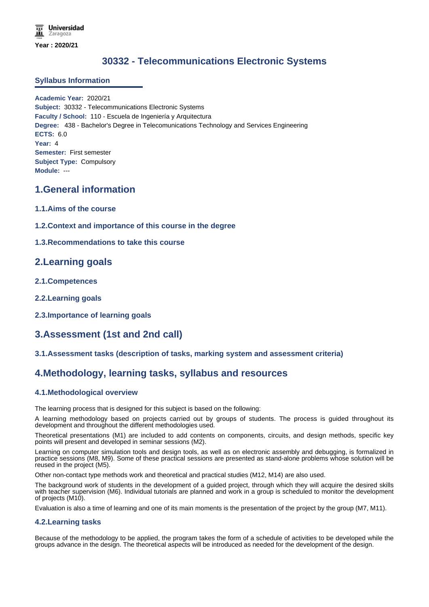# **30332 - Telecommunications Electronic Systems**

### **Syllabus Information**

**Academic Year:** 2020/21 **Subject:** 30332 - Telecommunications Electronic Systems **Faculty / School:** 110 - Escuela de Ingeniería y Arquitectura **Degree:** 438 - Bachelor's Degree in Telecomunications Technology and Services Engineering **ECTS:** 6.0 **Year:** 4 **Semester:** First semester **Subject Type:** Compulsory **Module:** ---

## **1.General information**

- **1.1.Aims of the course**
- **1.2.Context and importance of this course in the degree**

### **1.3.Recommendations to take this course**

## **2.Learning goals**

- **2.1.Competences**
- **2.2.Learning goals**
- **2.3.Importance of learning goals**

# **3.Assessment (1st and 2nd call)**

### **3.1.Assessment tasks (description of tasks, marking system and assessment criteria)**

## **4.Methodology, learning tasks, syllabus and resources**

### **4.1.Methodological overview**

The learning process that is designed for this subject is based on the following:

A learning methodology based on projects carried out by groups of students. The process is guided throughout its development and throughout the different methodologies used.

Theoretical presentations (M1) are included to add contents on components, circuits, and design methods, specific key points will present and developed in seminar sessions (M2).

Learning on computer simulation tools and design tools, as well as on electronic assembly and debugging, is formalized in practice sessions (M8, M9). Some of these practical sessions are presented as stand-alone problems whose solution will be reused in the project (M5).

Other non-contact type methods work and theoretical and practical studies (M12, M14) are also used.

The background work of students in the development of a guided project, through which they will acquire the desired skills with teacher supervision (M6). Individual tutorials are planned and work in a group is scheduled to monitor the development of projects (M10).

Evaluation is also a time of learning and one of its main moments is the presentation of the project by the group (M7, M11).

#### **4.2.Learning tasks**

Because of the methodology to be applied, the program takes the form of a schedule of activities to be developed while the groups advance in the design. The theoretical aspects will be introduced as needed for the development of the design.